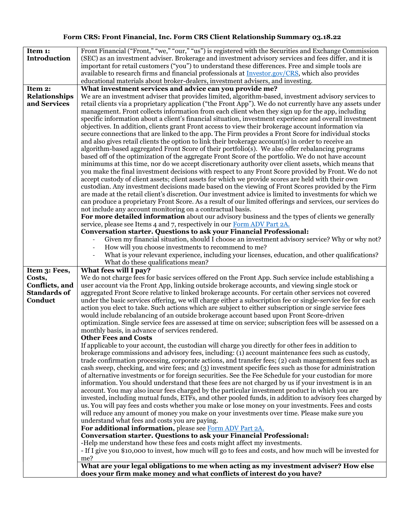## Form CRS: Front Financial, Inc. Form CRS Client Relationship Summary 03.18.22

| Item 1:                  | Front Financial ("Front," "we," "our," "us") is registered with the Securities and Exchange Commission                                                                                                    |
|--------------------------|-----------------------------------------------------------------------------------------------------------------------------------------------------------------------------------------------------------|
| <b>Introduction</b>      | (SEC) as an investment adviser. Brokerage and investment advisory services and fees differ, and it is                                                                                                     |
|                          | important for retail customers ("you") to understand these differences. Free and simple tools are                                                                                                         |
|                          | available to research firms and financial professionals at Investor.gov/CRS, which also provides                                                                                                          |
|                          | educational materials about broker-dealers, investment advisers, and investing.                                                                                                                           |
| Item 2:                  | What investment services and advice can you provide me?                                                                                                                                                   |
| <b>Relationships</b>     | We are an investment adviser that provides limited, algorithm-based, investment advisory services to                                                                                                      |
| and Services             | retail clients via a proprietary application ("the Front App"). We do not currently have any assets under                                                                                                 |
|                          | management. Front collects information from each client when they sign up for the app, including                                                                                                          |
|                          | specific information about a client's financial situation, investment experience and overall investment                                                                                                   |
|                          | objectives. In addition, clients grant Front access to view their brokerage account information via                                                                                                       |
|                          | secure connections that are linked to the app. The Firm provides a Front Score for individual stocks                                                                                                      |
|                          | and also gives retail clients the option to link their brokerage account(s) in order to receive an                                                                                                        |
|                          | algorithm-based aggregated Front Score of their portfolio(s). We also offer rebalancing programs                                                                                                          |
|                          | based off of the optimization of the aggregate Front Score of the portfolio. We do not have account                                                                                                       |
|                          | minimums at this time, nor do we accept discretionary authority over client assets, which means that                                                                                                      |
|                          | you make the final investment decisions with respect to any Front Score provided by Front. We do not                                                                                                      |
|                          | accept custody of client assets; client assets for which we provide scores are held with their own                                                                                                        |
|                          | custodian. Any investment decisions made based on the viewing of Front Scores provided by the Firm                                                                                                        |
|                          | are made at the retail client's discretion. Our investment advice is limited to investments for which we                                                                                                  |
|                          | can produce a proprietary Front Score. As a result of our limited offerings and services, our services do                                                                                                 |
|                          | not include any account monitoring on a contractual basis.                                                                                                                                                |
|                          | For more detailed information about our advisory business and the types of clients we generally                                                                                                           |
|                          | service, please see Items 4 and 7, respectively in our Form ADV Part 2A.                                                                                                                                  |
|                          | Conversation starter. Questions to ask your Financial Professional:                                                                                                                                       |
|                          | Given my financial situation, should I choose an investment advisory service? Why or why not?                                                                                                             |
|                          | How will you choose investments to recommend to me?                                                                                                                                                       |
|                          | What is your relevant experience, including your licenses, education, and other qualifications?                                                                                                           |
|                          |                                                                                                                                                                                                           |
|                          |                                                                                                                                                                                                           |
|                          | What do these qualifications mean?                                                                                                                                                                        |
| Item 3: Fees,            | What fees will I pay?                                                                                                                                                                                     |
| Costs,<br>Conflicts, and | We do not charge fees for basic services offered on the Front App. Such service include establishing a<br>user account via the Front App, linking outside brokerage accounts, and viewing single stock or |
| <b>Standards of</b>      | aggregated Front Score relative to linked brokerage accounts. For certain other services not covered                                                                                                      |
| Conduct                  | under the basic services offering, we will charge either a subscription fee or single-service fee for each                                                                                                |
|                          | action you elect to take. Such actions which are subject to either subscription or single service fees                                                                                                    |
|                          | would include rebalancing of an outside brokerage account based upon Front Score-driven                                                                                                                   |
|                          | optimization. Single service fees are assessed at time on service; subscription fees will be assessed on a                                                                                                |
|                          | monthly basis, in advance of services rendered.                                                                                                                                                           |
|                          | <b>Other Fees and Costs</b>                                                                                                                                                                               |
|                          | If applicable to your account, the custodian will charge you directly for other fees in addition to                                                                                                       |
|                          | brokerage commissions and advisory fees, including: (1) account maintenance fees such as custody,                                                                                                         |
|                          | trade confirmation processing, corporate actions, and transfer fees; (2) cash management fees such as                                                                                                     |
|                          | cash sweep, checking, and wire fees; and (3) investment specific fees such as those for administration                                                                                                    |
|                          | of alternative investments or for foreign securities. See the Fee Schedule for your custodian for more                                                                                                    |
|                          | information. You should understand that these fees are not charged by us if your investment is in an                                                                                                      |
|                          | account. You may also incur fees charged by the particular investment product in which you are                                                                                                            |
|                          | invested, including mutual funds, ETFs, and other pooled funds, in addition to advisory fees charged by                                                                                                   |
|                          | us. You will pay fees and costs whether you make or lose money on your investments. Fees and costs                                                                                                        |
|                          | will reduce any amount of money you make on your investments over time. Please make sure you                                                                                                              |
|                          | understand what fees and costs you are paying.                                                                                                                                                            |
|                          | For additional information, please see Form ADV Part 2A.                                                                                                                                                  |
|                          | <b>Conversation starter. Questions to ask your Financial Professional:</b>                                                                                                                                |
|                          | -Help me understand how these fees and costs might affect my investments.                                                                                                                                 |
|                          | - If I give you \$10,000 to invest, how much will go to fees and costs, and how much will be invested for                                                                                                 |
|                          | me?                                                                                                                                                                                                       |
|                          | What are your legal obligations to me when acting as my investment adviser? How else<br>does your firm make money and what conflicts of interest do you have?                                             |